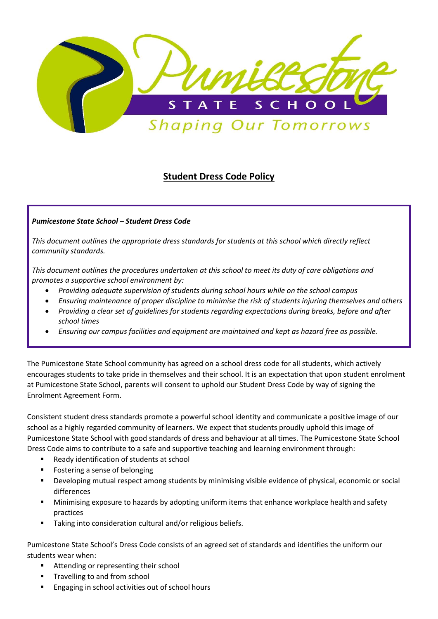

# Student Dress Code Policy

# Pumicestone State School – Student Dress Code

This document outlines the appropriate dress standards for students at this school which directly reflect community standards.

This document outlines the procedures undertaken at this school to meet its duty of care obligations and promotes a supportive school environment by:

- Providing adequate supervision of students during school hours while on the school campus
- Ensuring maintenance of proper discipline to minimise the risk of students injuring themselves and others
- Providing a clear set of guidelines for students regarding expectations during breaks, before and after school times
- Ensuring our campus facilities and equipment are maintained and kept as hazard free as possible.

The Pumicestone State School community has agreed on a school dress code for all students, which actively encourages students to take pride in themselves and their school. It is an expectation that upon student enrolment at Pumicestone State School, parents will consent to uphold our Student Dress Code by way of signing the Enrolment Agreement Form.

Consistent student dress standards promote a powerful school identity and communicate a positive image of our school as a highly regarded community of learners. We expect that students proudly uphold this image of Pumicestone State School with good standards of dress and behaviour at all times. The Pumicestone State School Dress Code aims to contribute to a safe and supportive teaching and learning environment through:

- Ready identification of students at school
- **F** Fostering a sense of belonging
- Developing mutual respect among students by minimising visible evidence of physical, economic or social differences
- Minimising exposure to hazards by adopting uniform items that enhance workplace health and safety practices
- Taking into consideration cultural and/or religious beliefs.

Pumicestone State School's Dress Code consists of an agreed set of standards and identifies the uniform our students wear when:

- Attending or representing their school
- Travelling to and from school
- Engaging in school activities out of school hours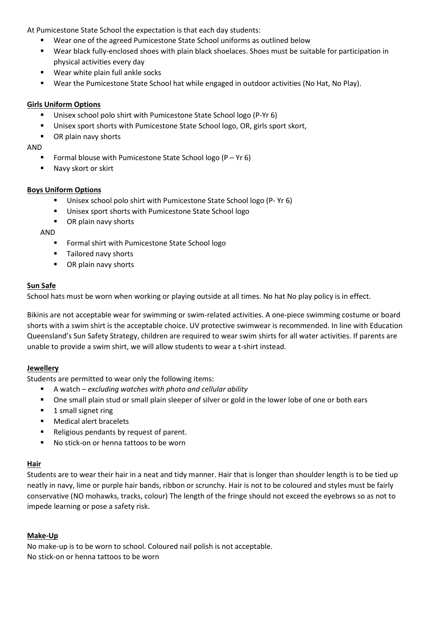At Pumicestone State School the expectation is that each day students:

- Wear one of the agreed Pumicestone State School uniforms as outlined below
- Wear black fully-enclosed shoes with plain black shoelaces. Shoes must be suitable for participation in physical activities every day
- Wear white plain full ankle socks
- Wear the Pumicestone State School hat while engaged in outdoor activities (No Hat, No Play).

## Girls Uniform Options

- **Unisex school polo shirt with Pumicestone State School logo (P-Yr 6)**
- Unisex sport shorts with Pumicestone State School logo, OR, girls sport skort,
- OR plain navy shorts

AND

- Formal blouse with Pumicestone State School logo  $(P Yr 6)$
- Navy skort or skirt

#### Boys Uniform Options

- Unisex school polo shirt with Pumicestone State School logo (P- Yr 6)
- Unisex sport shorts with Pumicestone State School logo
- OR plain navy shorts

AND

- **F** Formal shirt with Pumicestone State School logo
- **Tailored navy shorts**
- **•** OR plain navy shorts

### Sun Safe

School hats must be worn when working or playing outside at all times. No hat No play policy is in effect.

Bikinis are not acceptable wear for swimming or swim-related activities. A one-piece swimming costume or board shorts with a swim shirt is the acceptable choice. UV protective swimwear is recommended. In line with Education Queensland's Sun Safety Strategy, children are required to wear swim shirts for all water activities. If parents are unable to provide a swim shirt, we will allow students to wear a t-shirt instead.

#### **Jewellery**

Students are permitted to wear only the following items:

- A watch excluding watches with photo and cellular ability
- One small plain stud or small plain sleeper of silver or gold in the lower lobe of one or both ears
- **1** small signet ring
- **Medical alert bracelets**
- Religious pendants by request of parent.
- No stick-on or henna tattoos to be worn

#### Hair

Students are to wear their hair in a neat and tidy manner. Hair that is longer than shoulder length is to be tied up neatly in navy, lime or purple hair bands, ribbon or scrunchy. Hair is not to be coloured and styles must be fairly conservative (NO mohawks, tracks, colour) The length of the fringe should not exceed the eyebrows so as not to impede learning or pose a safety risk.

#### Make-Up

No make-up is to be worn to school. Coloured nail polish is not acceptable. No stick-on or henna tattoos to be worn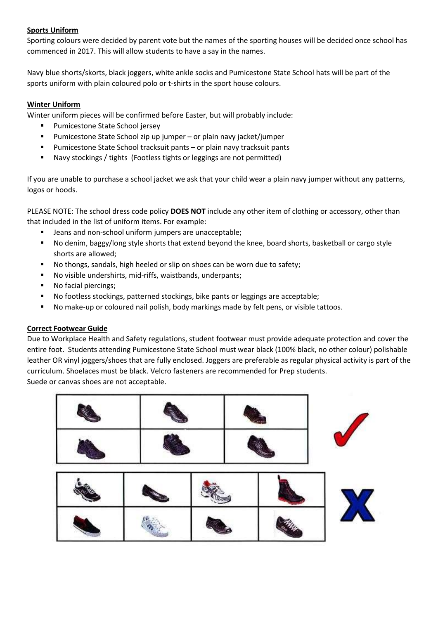# Sports Uniform

Sporting colours were decided by parent vote but the names of the sporting houses will be decided once school has commenced in 2017. This will allow students to have a say in the names.

Navy blue shorts/skorts, black joggers, white ankle socks and Pumicestone State School hats will be part of the sports uniform with plain coloured polo or t-shirts in the sport house colours.

# Winter Uniform

Winter uniform pieces will be confirmed before Easter, but will probably include:

- Pumicestone State School jersey
- Pumicestone State School zip up jumper or plain navy jacket/jumper
- Pumicestone State School tracksuit pants or plain navy tracksuit pants
- Navy stockings / tights (Footless tights or leggings are not permitted)

If you are unable to purchase a school jacket we ask that your child wear a plain navy jumper without any patterns, logos or hoods.

PLEASE NOTE: The school dress code policy DOES NOT include any other item of clothing or accessory, other than that included in the list of uniform items. For example:

- **EXTERN** Jeans and non-school uniform jumpers are unacceptable;
- No denim, baggy/long style shorts that extend beyond the knee, board shorts, basketball or cargo style shorts are allowed;
- No thongs, sandals, high heeled or slip on shoes can be worn due to safety;
- No visible undershirts, mid-riffs, waistbands, underpants;
- No facial piercings;
- No footless stockings, patterned stockings, bike pants or leggings are acceptable;
- No make-up or coloured nail polish, body markings made by felt pens, or visible tattoos.

# Correct Footwear Guide

Due to Workplace Health and Safety regulations, student footwear must provide adequate protection and cover the entire foot. Students attending Pumicestone State School must wear black (100% black, no other colour) polishable leather OR vinyl joggers/shoes that are fully enclosed. Joggers are preferable as regular physical activity is part of the curriculum. Shoelaces must be black. Velcro fasteners are recommended for Prep students. Suede or canvas shoes are not acceptable.